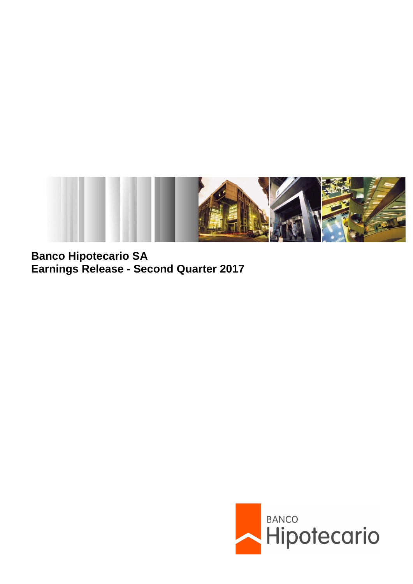

**Banco Hipotecario SA Earnings Release - Second Quarter 2017**

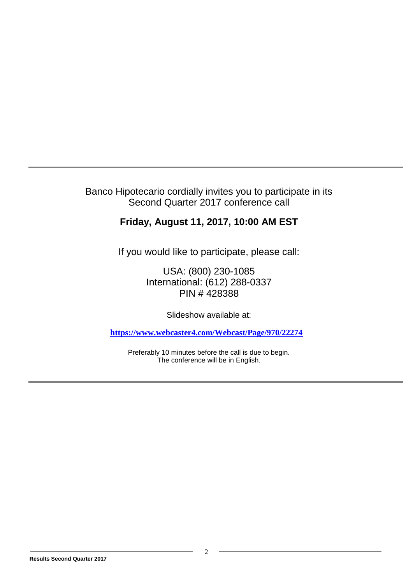## Banco Hipotecario cordially invites you to participate in its Second Quarter 2017 conference call

# **Friday, August 11, 2017, 10:00 AM EST**

If you would like to participate, please call:

USA: (800) 230-1085 International: (612) 288-0337 PIN # 428388

Slideshow available at:

**<https://www.webcaster4.com/Webcast/Page/970/22274>**

Preferably 10 minutes before the call is due to begin. The conference will be in English.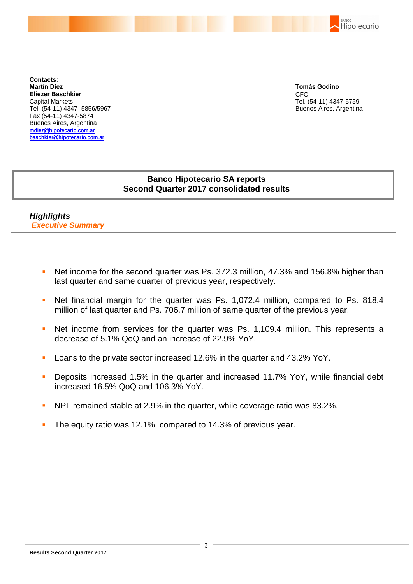

**Contacts**: **Martín Diez Eliezer Baschkier** Capital Markets Tel. (54-11) 4347- 5856/5967 Fax (54-11) 4347-5874 Buenos Aires, Argentina **mdiez@hipotecario.com.ar baschkier@hipotecario.com.ar**

**Tomás Godino** CFO Tel. (54-11) 4347-5759 Buenos Aires, Argentina

## **Banco Hipotecario SA reports Second Quarter 2017 consolidated results**

*Highlights Executive Summary*

- Net income for the second quarter was Ps. 372.3 million, 47.3% and 156.8% higher than last quarter and same quarter of previous year, respectively.
- Net financial margin for the quarter was Ps. 1,072.4 million, compared to Ps. 818.4 million of last quarter and Ps. 706.7 million of same quarter of the previous year.
- Net income from services for the quarter was Ps. 1,109.4 million. This represents a decrease of 5.1% QoQ and an increase of 22.9% YoY.
- **Loans to the private sector increased 12.6% in the quarter and 43.2% YoY.**
- **Deposits increased 1.5% in the quarter and increased 11.7% YoY, while financial debt** increased 16.5% QoQ and 106.3% YoY.
- NPL remained stable at 2.9% in the quarter, while coverage ratio was 83.2%.
- The equity ratio was 12.1%, compared to 14.3% of previous year.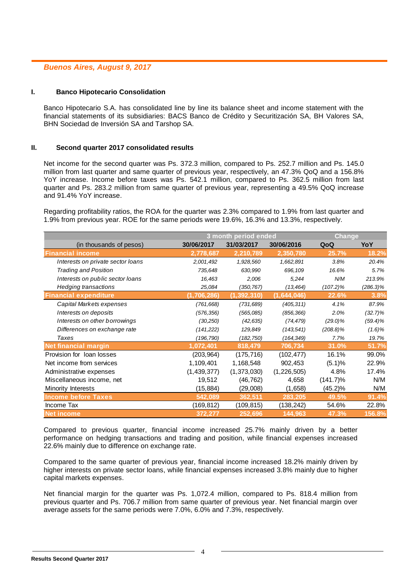## *Buenos Aires, August 9, 2017*

#### **I. Banco Hipotecario Consolidation**

Banco Hipotecario S.A. has consolidated line by line its balance sheet and income statement with the financial statements of its subsidiaries: BACS Banco de Crédito y Securitización SA, BH Valores SA, BHN Sociedad de Inversión SA and Tarshop SA.

#### **II. Second quarter 2017 consolidated results**

Net income for the second quarter was Ps. 372.3 million, compared to Ps. 252.7 million and Ps. 145.0 million from last quarter and same quarter of previous year, respectively, an 47.3% QoQ and a 156.8% YoY increase. Income before taxes was Ps. 542.1 million, compared to Ps. 362.5 million from last quarter and Ps. 283.2 million from same quarter of previous year, representing a 49.5% QoQ increase and 91.4% YoY increase.

Regarding profitability ratios, the ROA for the quarter was 2.3% compared to 1.9% from last quarter and 1.9% from previous year. ROE for the same periods were 19.6%, 16.3% and 13.3%, respectively.

|                                   |             | 3 month period ended |             |             | <b>Change</b> |  |
|-----------------------------------|-------------|----------------------|-------------|-------------|---------------|--|
| (in thousands of pesos)           | 30/06/2017  | 31/03/2017           | 30/06/2016  | QoQ         | YoY           |  |
| <b>Financial income</b>           | 2,778,687   | 2,210,789            | 2,350,780   | 25.7%       | 18.2%         |  |
| Interests on private sector loans | 2,001,492   | 1,928,560            | 1,662,891   | 3.8%        | 20.4%         |  |
| <b>Trading and Position</b>       | 735,648     | 630,990              | 696,109     | 16.6%       | 5.7%          |  |
| Interests on public sector loans  | 16,463      | 2,006                | 5,244       | N/M         | 213.9%        |  |
| <b>Hedging transactions</b>       | 25,084      | (350, 767)           | (13, 464)   | $(107.2)\%$ | (286.3)%      |  |
| <b>Financial expenditure</b>      | (1,706,286) | (1, 392, 310)        | (1,644,046) | 22.6%       | 3.8%          |  |
| Capital Markets expenses          | (761, 668)  | (731, 689)           | (405, 311)  | 4.1%        | 87.9%         |  |
| Interests on deposits             | (576, 356)  | (565,085)            | (856, 366)  | 2.0%        | $(32.7)\%$    |  |
| Interests on other borrowings     | (30, 250)   | (42, 635)            | (74, 479)   | $(29.0)\%$  | $(59.4)\%$    |  |
| Differences on exchange rate      | (141, 222)  | 129,849              | (143, 541)  | $(208.8)\%$ | $(1.6)\%$     |  |
| Taxes                             | (196, 790)  | (182, 750)           | (164, 349)  | 7.7%        | 19.7%         |  |
| <b>Net financial margin</b>       | 1,072,401   | 818,479              | 706,734     | 31.0%       | 51.7%         |  |
| Provision for loan losses         | (203,964)   | (175, 716)           | (102, 477)  | 16.1%       | 99.0%         |  |
| Net income from services          | 1,109,401   | 1,168,548            | 902,453     | (5.1)%      | 22.9%         |  |
| Administrative expenses           | (1,439,377) | (1,373,030)          | (1,226,505) | 4.8%        | 17.4%         |  |
| Miscellaneous income, net         | 19,512      | (46, 762)            | 4,658       | $(141.7)\%$ | N/M           |  |
| Minority Interests                | (15, 884)   | (29,008)             | (1,658)     | $(45.2)\%$  | N/M           |  |
| <b>Income before Taxes</b>        | 542,089     | 362,511              | 283,205     | 49.5%       | 91.4%         |  |
| Income Tax                        | (169,812)   | (109, 815)           | (138,242)   | 54.6%       | 22.8%         |  |
| <b>Net income</b>                 | 372,277     | 252,696              | 144,963     | 47.3%       | 156.8%        |  |

Compared to previous quarter, financial income increased 25.7% mainly driven by a better performance on hedging transactions and trading and position, while financial expenses increased 22.6% mainly due to difference on exchange rate.

Compared to the same quarter of previous year, financial income increased 18.2% mainly driven by higher interests on private sector loans, while financial expenses increased 3.8% mainly due to higher capital markets expenses.

Net financial margin for the quarter was Ps. 1,072.4 million, compared to Ps. 818.4 million from previous quarter and Ps. 706.7 million from same quarter of previous year. Net financial margin over average assets for the same periods were 7.0%, 6.0% and 7.3%, respectively.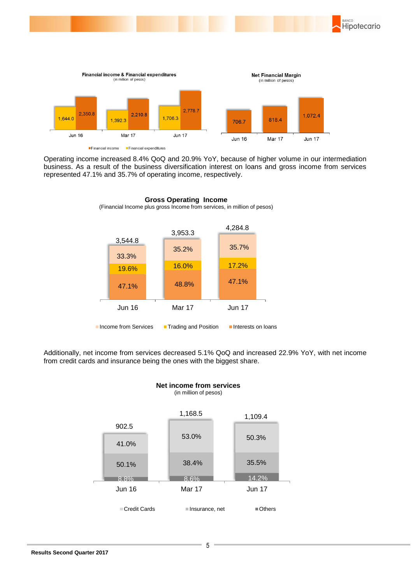



Operating income increased 8.4% QoQ and 20.9% YoY, because of higher volume in our intermediation business. As a result of the business diversification interest on loans and gross income from services represented 47.1% and 35.7% of operating income, respectively.



**Gross Operating Income**

Additionally, net income from services decreased 5.1% QoQ and increased 22.9% YoY, with net income from credit cards and insurance being the ones with the biggest share.



**Net income from services** (in million of pesos)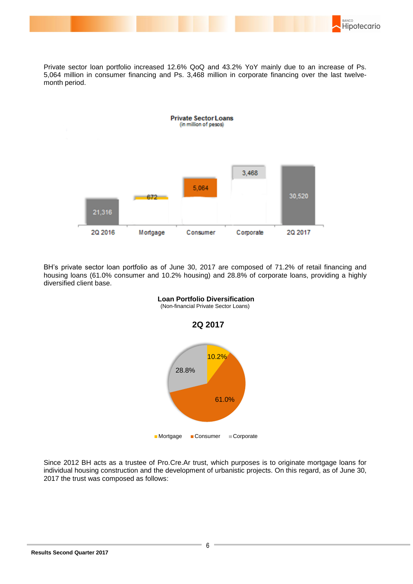

Private sector loan portfolio increased 12.6% QoQ and 43.2% YoY mainly due to an increase of Ps. 5,064 million in consumer financing and Ps. 3,468 million in corporate financing over the last twelvemonth period.



BH's private sector loan portfolio as of June 30, 2017 are composed of 71.2% of retail financing and housing loans (61.0% consumer and 10.2% housing) and 28.8% of corporate loans, providing a highly diversified client base.



Since 2012 BH acts as a trustee of Pro.Cre.Ar trust, which purposes is to originate mortgage loans for individual housing construction and the development of urbanistic projects. On this regard, as of June 30, 2017 the trust was composed as follows: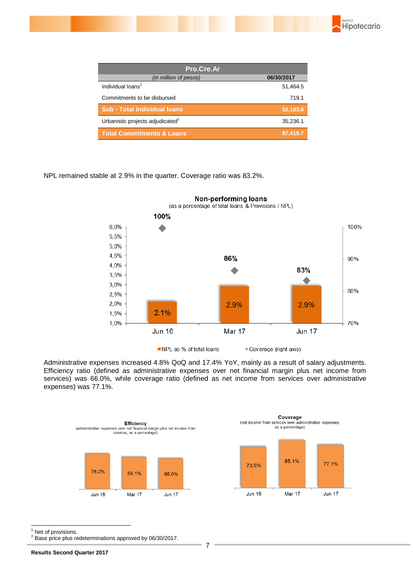

| Pro.Cre.Ar                                   |            |  |  |  |
|----------------------------------------------|------------|--|--|--|
| (in million of pesos)                        | 06/30/2017 |  |  |  |
| Individual loans <sup>1</sup>                | 51,464.5   |  |  |  |
| Commitments to be disbursed                  | 719.1      |  |  |  |
| Sub - Total Individual Ioans                 | 52,183.6   |  |  |  |
| Urbanistic projects adjudicated <sup>2</sup> | 35,236.1   |  |  |  |
| <b>Total Commitments &amp; Loans</b>         | 87,419.7   |  |  |  |

NPL remained stable at 2.9% in the quarter. Coverage ratio was 83.2%.



NPL as % of total loans \* Coverage (right axis)

Administrative expenses increased 4.8% QoQ and 17.4% YoY, mainly as a result of salary adjustments. Efficiency ratio (defined as administrative expenses over net financial margin plus net income from services) was 66.0%, while coverage ratio (defined as net income from services over administrative expenses) was 77.1%.





-Net of provisions.

<sup>2</sup> Base price plus redeterminations approved by 06/30/2017.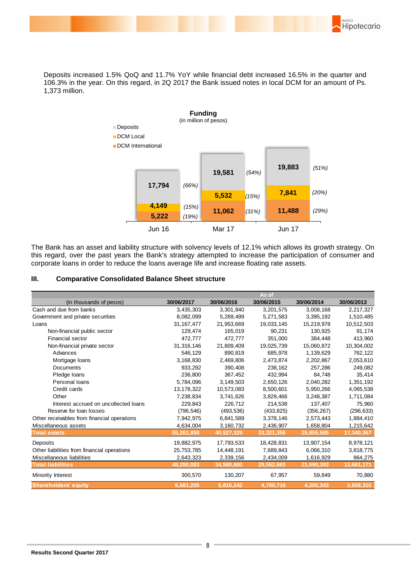BANCO Hipotecario

Deposits increased 1.5% QoQ and 11.7% YoY while financial debt increased 16.5% in the quarter and 106.3% in the year. On this regard, in 2Q 2017 the Bank issued notes in local DCM for an amount of Ps. 1,373 million.



The Bank has an asset and liability structure with solvency levels of 12.1% which allows its growth strategy. On this regard, over the past years the Bank's strategy attempted to increase the participation of consumer and corporate loans in order to reduce the loans average life and increase floating rate assets.

#### **III. Comparative Consolidated Balance Sheet structure**

|                                             |              |            | As of      |            |            |
|---------------------------------------------|--------------|------------|------------|------------|------------|
| (in thousands of pesos)                     | 30/06/2017   | 30/06/2016 | 30/06/2015 | 30/06/2014 | 30/06/2013 |
| Cash and due from banks                     | 3,435,303    | 3,301,840  | 3,201,575  | 3,008,168  | 2,217,327  |
| Government and private securities           | 8,082,099    | 5,269,499  | 5,271,583  | 3,395,192  | 1,510,485  |
| Loans                                       | 31, 167, 477 | 21,953,669 | 19,033,145 | 15,219,978 | 10,512,503 |
| Non-financial public sector                 | 129.474      | 165.019    | 90.231     | 130.925    | 91,174     |
| Financial sector                            | 472,777      | 472,777    | 351,000    | 384,448    | 413,960    |
| Non-financial private sector                | 31,316,146   | 21,809,409 | 19,025,739 | 15,060,872 | 10,304,002 |
| Advances                                    | 546,129      | 890,819    | 685,978    | 1,139,629  | 762,122    |
| Mortgage loans                              | 3,168,830    | 2,469,806  | 2,473,874  | 2,202,867  | 2,053,610  |
| Documents                                   | 933,292      | 390,408    | 238,162    | 257,286    | 249,082    |
| Pledge loans                                | 236.800      | 367.452    | 432,994    | 84,748     | 35,414     |
| Personal loans                              | 5,784,096    | 3,149,503  | 2,650,126  | 2,040,282  | 1,351,192  |
| Credit cards                                | 13, 178, 322 | 10,573,083 | 8,500,601  | 5,950,266  | 4,065,538  |
| Other                                       | 7,238,834    | 3,741,626  | 3,829,466  | 3,248,387  | 1,711,084  |
| Interest accrued on uncollected loans       | 229,843      | 226,712    | 214,538    | 137,407    | 75,960     |
| Reserve for loan losses                     | (796, 546)   | (493, 536) | (433, 825) | (356, 267) | (296, 633) |
| Other receivables from financial operations | 7,942,975    | 6,841,589  | 3,378,146  | 2,573,443  | 1,884,410  |
| Miscellaneous assets                        | 4,634,004    | 3,160,732  | 2,436,907  | 1,658,804  | 1,215,642  |
| <b>Total assets</b>                         | 55,261,858   | 40,527,329 | 33,321,356 | 25,855,585 | 17,340,367 |
| Deposits                                    | 19,882,975   | 17,793,533 | 18,428,831 | 13,907,154 | 8,978,121  |
| Other liabilities from financial operations | 25,753,785   | 14,448,191 | 7,689,843  | 6,066,310  | 3,818,775  |
| Miscellaneous liabilities                   | 2,643,323    | 2,339,156  | 2,434,009  | 1,616,929  | 864,275    |
| <b>Total liabilities</b>                    | 48,280,083   | 34,580,880 | 28,552,683 | 21,590,393 | 13,661,171 |
| Minority Interest                           | 300,570      | 130,207    | 67,957     | 59,849     | 70,880     |
| <b>Shareholders' equity</b>                 | 6,681,205    | 5,816,242  | 4,700,716  | 4,205,343  | 3,608,316  |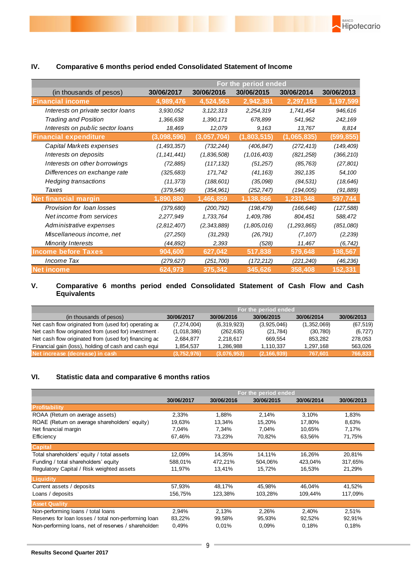

|                                   | For the period ended |               |             |             |            |
|-----------------------------------|----------------------|---------------|-------------|-------------|------------|
| (in thousands of pesos)           | 30/06/2017           | 30/06/2016    | 30/06/2015  | 30/06/2014  | 30/06/2013 |
| <b>Financial income</b>           | 4,989,476            | 4,524,563     | 2,942,381   | 2,297,183   | 1,197,599  |
| Interests on private sector loans | 3,930,052            | 3, 122, 313   | 2,254,319   | 1,741,454   | 946,616    |
| Trading and Position              | 1,366,638            | 1,390,171     | 678,899     | 541,962     | 242,169    |
| Interests on public sector loans  | 18,469               | 12,079        | 9.163       | 13,767      | 8,814      |
| <b>Financial expenditure</b>      | (3,098,596)          | (3,057,704)   | (1,803,515) | (1,065,835) | (599,855)  |
| Capital Markets expenses          | (1,493,357)          | (732, 244)    | (406, 847)  | (272, 413)  | (149, 409) |
| Interests on deposits             | (1, 141, 441)        | (1,836,508)   | (1,016,403) | (821, 258)  | (366, 210) |
| Interests on other borrowings     | (72, 885)            | (117, 132)    | (51, 257)   | (85, 763)   | (27, 801)  |
| Differences on exchange rate      | (325, 683)           | 171,742       | (41, 163)   | 392, 135    | 54,100     |
| <b>Hedging transactions</b>       | (11, 373)            | (188, 601)    | (35,098)    | (84, 531)   | (18, 646)  |
| Taxes                             | (379, 540)           | (354, 961)    | (252, 747)  | (194,005)   | (91, 889)  |
| <b>Net financial margin</b>       | 1,890,880            | 1,466,859     | 1,138,866   | 1,231,348   | 597,744    |
| Provision for Ioan losses         | (379, 680)           | (200, 792)    | (198, 479)  | (166, 646)  | (127, 588) |
| Net income from services          | 2,277,949            | 1,733,764     | 1,409,786   | 804,451     | 588,472    |
| Administrative expenses           | (2,812,407)          | (2, 343, 889) | (1,805,016) | (1,293,865) | (851,080)  |
| Miscellaneous income, net         | (27, 250)            | (31, 293)     | (26, 791)   | (7, 107)    | (2, 239)   |
| <b>Minority Interests</b>         | (44,892)             | 2,393         | (528)       | 11,467      | (6, 742)   |
| <b>Income before Taxes</b>        | 904,600              | 627,042       | 517,838     | 579,648     | 198,567    |
| Income Tax                        | (279, 627)           | (251, 700)    | (172, 212)  | (221, 240)  | (46, 236)  |
| <b>Net income</b>                 | 624,973              | 375,342       | 345,626     | 358,408     | 152,331    |

## **IV. Comparative 6 months period ended Consolidated Statement of Income**

#### **V. Comparative 6 months period ended Consolidated Statement of Cash Flow and Cash Equivalents**

|                                                       | For the period ended |             |               |             |            |
|-------------------------------------------------------|----------------------|-------------|---------------|-------------|------------|
| (in thousands of pesos)                               | 30/06/2017           | 30/06/2016  | 30/06/2015    | 30/06/2014  | 30/06/2013 |
| Net cash flow originated from (used for) operating a  | (7, 274, 004)        | (6,319,923) | (3,925,046)   | (1,352,069) | (67, 519)  |
| Net cash flow originated from (used for) investment   | (1,018,386)          | (262, 635)  | (21, 784)     | (30, 780)   | (6, 727)   |
| Net cash flow originated from (used for) financing ac | 2.684.877            | 2.218.617   | 669.554       | 853.282     | 278.053    |
| Financial gain (loss), holding of cash and cash equi  | 1,854,537            | 1,286,988   | 1,110,337     | 1,297,168   | 563,026    |
| Net increase (decrease) in cash                       | (3,752,976)          | (3,076,953) | (2, 166, 939) | 767,601     | 766,833    |

## **VI. Statistic data and comparative 6 months ratios**

|                                                      | For the period ended |            |            |            |            |
|------------------------------------------------------|----------------------|------------|------------|------------|------------|
|                                                      | 30/06/2017           | 30/06/2016 | 30/06/2015 | 30/06/2014 | 30/06/2013 |
| <b>Profitability</b>                                 |                      |            |            |            |            |
| ROAA (Return on average assets)                      | 2,33%                | 1,88%      | 2,14%      | 3,10%      | 1,83%      |
| ROAE (Return on average shareholders' equity)        | 19,63%               | 13,34%     | 15,20%     | 17,80%     | 8,63%      |
| Net financial margin                                 | 7,04%                | 7.34%      | 7,04%      | 10,65%     | 7,17%      |
| Efficiency                                           | 67,46%               | 73,23%     | 70,82%     | 63,56%     | 71,75%     |
| <b>Capital</b>                                       |                      |            |            |            |            |
| Total shareholders' equity / total assets            | 12,09%               | 14,35%     | 14.11%     | 16,26%     | 20,81%     |
| Funding / total shareholders' equity                 | 588,01%              | 472,21%    | 504,06%    | 423,04%    | 317,65%    |
| Regulatory Capital / Risk weighted assets            | 11,97%               | 13,41%     | 15,72%     | 16,53%     | 21,29%     |
| Liquidity                                            |                      |            |            |            |            |
| Current assets / deposits                            | 57,93%               | 48.17%     | 45,98%     | 46.04%     | 41,52%     |
| Loans / deposits                                     | 156,75%              | 123,38%    | 103,28%    | 109,44%    | 117,09%    |
| <b>Asset Quality</b>                                 |                      |            |            |            |            |
| Non-performing loans / total loans                   | 2,94%                | 2,13%      | 2,26%      | 2,40%      | 2,51%      |
| Reserves for loan losses / total non-performing loan | 83,22%               | 99,58%     | 95,93%     | 92,52%     | 92,91%     |
| Non-performing loans, net of reserves / shareholders | 0,49%                | 0.01%      | 0.09%      | 0,18%      | 0,18%      |